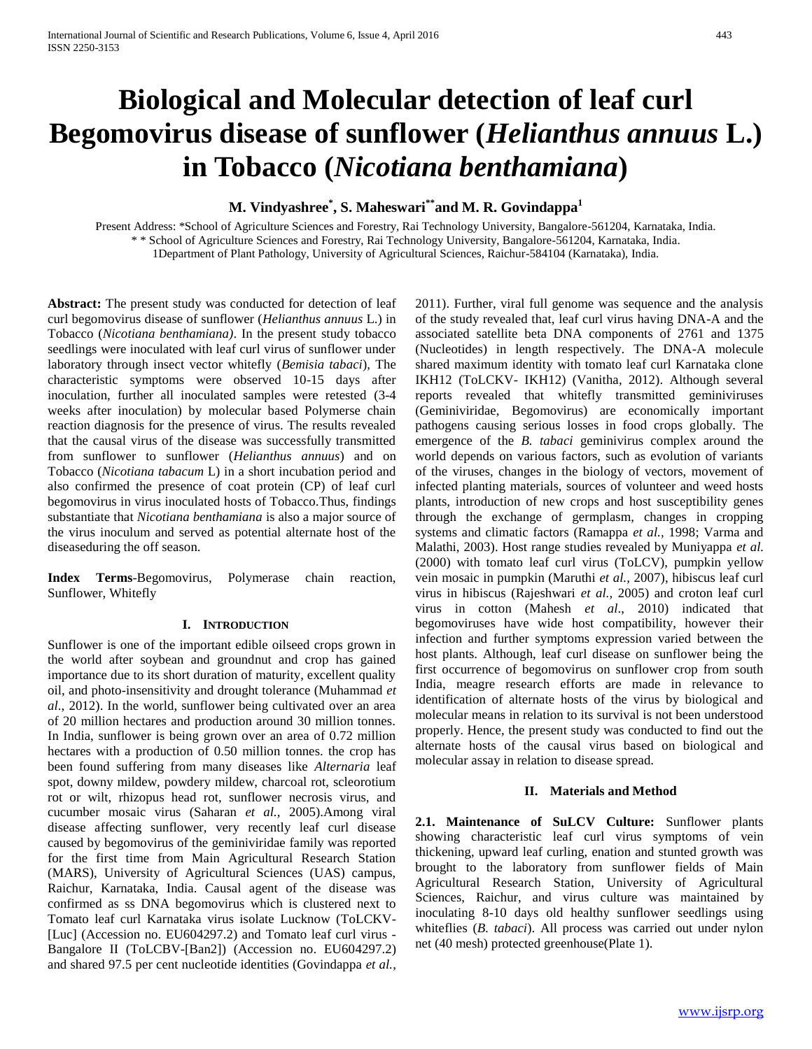# **Biological and Molecular detection of leaf curl Begomovirus disease of sunflower (***Helianthus annuus* **L.) in Tobacco (***Nicotiana benthamiana***)**

# **M. Vindyashree\* , S. Maheswari\*\*and M. R. Govindappa<sup>1</sup>**

Present Address: \*School of Agriculture Sciences and Forestry, Rai Technology University, Bangalore-561204, Karnataka, India. \* \* School of Agriculture Sciences and Forestry, Rai Technology University, Bangalore-561204, Karnataka, India. 1Department of Plant Pathology, University of Agricultural Sciences, Raichur-584104 (Karnataka), India.

**Abstract:** The present study was conducted for detection of leaf curl begomovirus disease of sunflower (*Helianthus annuus* L.) in Tobacco (*Nicotiana benthamiana)*. In the present study tobacco seedlings were inoculated with leaf curl virus of sunflower under laboratory through insect vector whitefly (*Bemisia tabaci*), The characteristic symptoms were observed 10-15 days after inoculation, further all inoculated samples were retested (3-4 weeks after inoculation) by molecular based Polymerse chain reaction diagnosis for the presence of virus. The results revealed that the causal virus of the disease was successfully transmitted from sunflower to sunflower (*Helianthus annuus*) and on Tobacco (*Nicotiana tabacum* L) in a short incubation period and also confirmed the presence of coat protein (CP) of leaf curl begomovirus in virus inoculated hosts of Tobacco*.*Thus, findings substantiate that *Nicotiana benthamiana* is also a major source of the virus inoculum and served as potential alternate host of the diseaseduring the off season.

**Index Terms**-Begomovirus, Polymerase chain reaction, Sunflower, Whitefly

#### **I. INTRODUCTION**

Sunflower is one of the important edible oilseed crops grown in the world after soybean and groundnut and crop has gained importance due to its short duration of maturity, excellent quality oil, and photo-insensitivity and drought tolerance (Muhammad *et al*., 2012). In the world, sunflower being cultivated over an area of 20 million hectares and production around 30 million tonnes. In India, sunflower is being grown over an area of 0.72 million hectares with a production of 0.50 million tonnes. the crop has been found suffering from many diseases like *Alternaria* leaf spot, downy mildew, powdery mildew, charcoal rot, scleorotium rot or wilt, rhizopus head rot, sunflower necrosis virus, and cucumber mosaic virus (Saharan *et al.,* 2005).Among viral disease affecting sunflower, very recently leaf curl disease caused by begomovirus of the geminiviridae family was reported for the first time from Main Agricultural Research Station (MARS), University of Agricultural Sciences (UAS) campus, Raichur, Karnataka, India. Causal agent of the disease was confirmed as ss DNA begomovirus which is clustered next to Tomato leaf curl Karnataka virus isolate Lucknow (ToLCKV- [Luc] (Accession no. EU604297.2) and Tomato leaf curl virus -Bangalore II (ToLCBV-[Ban2]) (Accession no. EU604297.2) and shared 97.5 per cent nucleotide identities (Govindappa *et al.*,

2011). Further, viral full genome was sequence and the analysis of the study revealed that, leaf curl virus having DNA-A and the associated satellite beta DNA components of 2761 and 1375 (Nucleotides) in length respectively. The DNA-A molecule shared maximum identity with tomato leaf curl Karnataka clone IKH12 (ToLCKV- IKH12) (Vanitha*,* 2012). Although several reports revealed that whitefly transmitted geminiviruses (Geminiviridae, Begomovirus) are economically important pathogens causing serious losses in food crops globally. The emergence of the *B. tabaci* geminivirus complex around the world depends on various factors, such as evolution of variants of the viruses, changes in the biology of vectors, movement of infected planting materials, sources of volunteer and weed hosts plants, introduction of new crops and host susceptibility genes through the exchange of germplasm, changes in cropping systems and climatic factors (Ramappa *et al.,* 1998; Varma and Malathi, 2003). Host range studies revealed by Muniyappa *et al.*  (2000) with tomato leaf curl virus (ToLCV), pumpkin yellow vein mosaic in pumpkin (Maruthi *et al.,* 2007), hibiscus leaf curl virus in hibiscus (Rajeshwari *et al.,* 2005) and croton leaf curl virus in cotton (Mahesh *et al*., 2010) indicated that begomoviruses have wide host compatibility, however their infection and further symptoms expression varied between the host plants. Although, leaf curl disease on sunflower being the first occurrence of begomovirus on sunflower crop from south India, meagre research efforts are made in relevance to identification of alternate hosts of the virus by biological and molecular means in relation to its survival is not been understood properly. Hence, the present study was conducted to find out the alternate hosts of the causal virus based on biological and molecular assay in relation to disease spread*.*

#### **II. Materials and Method**

**2.1. Maintenance of SuLCV Culture:** Sunflower plants showing characteristic leaf curl virus symptoms of vein thickening, upward leaf curling, enation and stunted growth was brought to the laboratory from sunflower fields of Main Agricultural Research Station, University of Agricultural Sciences, Raichur, and virus culture was maintained by inoculating 8-10 days old healthy sunflower seedlings using whiteflies (*B. tabaci*). All process was carried out under nylon net (40 mesh) protected greenhouse(Plate 1).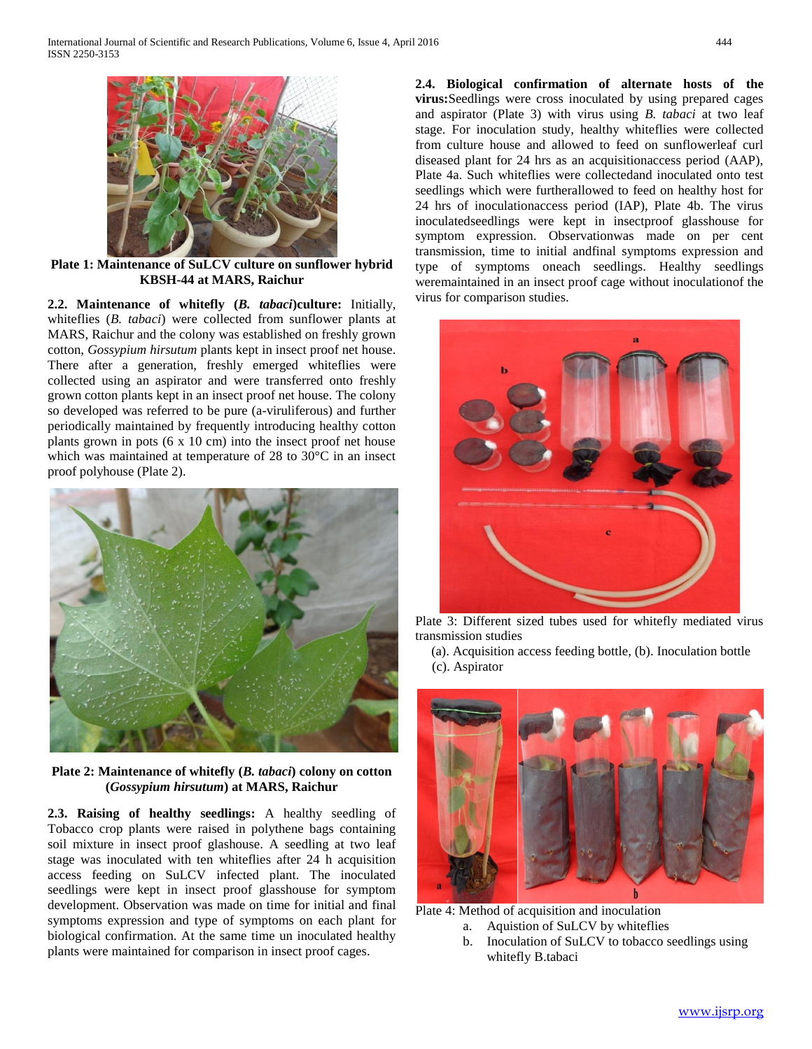

**Plate 1: Maintenance of SuLCV culture on sunflower hybrid KBSH-44 at MARS, Raichur**

**2.2. Maintenance of whitefly (***B. tabaci***)culture:** Initially, whiteflies (*B. tabaci*) were collected from sunflower plants at MARS, Raichur and the colony was established on freshly grown cotton, *Gossypium hirsutum* plants kept in insect proof net house. There after a generation, freshly emerged whiteflies were collected using an aspirator and were transferred onto freshly grown cotton plants kept in an insect proof net house. The colony so developed was referred to be pure (a-viruliferous) and further periodically maintained by frequently introducing healthy cotton plants grown in pots (6 x 10 cm) into the insect proof net house which was maintained at temperature of 28 to 30°C in an insect proof polyhouse (Plate 2).



**Plate 2: Maintenance of whitefly (***B. tabaci***) colony on cotton (***Gossypium hirsutum***) at MARS, Raichur**

**2.3. Raising of healthy seedlings:** A healthy seedling of Tobacco crop plants were raised in polythene bags containing soil mixture in insect proof glashouse. A seedling at two leaf stage was inoculated with ten whiteflies after 24 h acquisition access feeding on SuLCV infected plant. The inoculated seedlings were kept in insect proof glasshouse for symptom development. Observation was made on time for initial and final symptoms expression and type of symptoms on each plant for biological confirmation. At the same time un inoculated healthy plants were maintained for comparison in insect proof cages.

**2.4. Biological confirmation of alternate hosts of the virus:**Seedlings were cross inoculated by using prepared cages and aspirator (Plate 3) with virus using *B. tabaci* at two leaf stage. For inoculation study, healthy whiteflies were collected from culture house and allowed to feed on sunflowerleaf curl diseased plant for 24 hrs as an acquisitionaccess period (AAP), Plate 4a. Such whiteflies were collectedand inoculated onto test seedlings which were furtherallowed to feed on healthy host for 24 hrs of inoculationaccess period (IAP), Plate 4b. The virus inoculatedseedlings were kept in insectproof glasshouse for symptom expression. Observationwas made on per cent transmission, time to initial andfinal symptoms expression and type of symptoms oneach seedlings. Healthy seedlings weremaintained in an insect proof cage without inoculationof the virus for comparison studies.



Plate 3: Different sized tubes used for whitefly mediated virus transmission studies

(a). Acquisition access feeding bottle, (b). Inoculation bottle (c). Aspirator



Plate 4: Method of acquisition and inoculation

- a. Aquistion of SuLCV by whiteflies
- b. Inoculation of SuLCV to tobacco seedlings using whitefly B.tabaci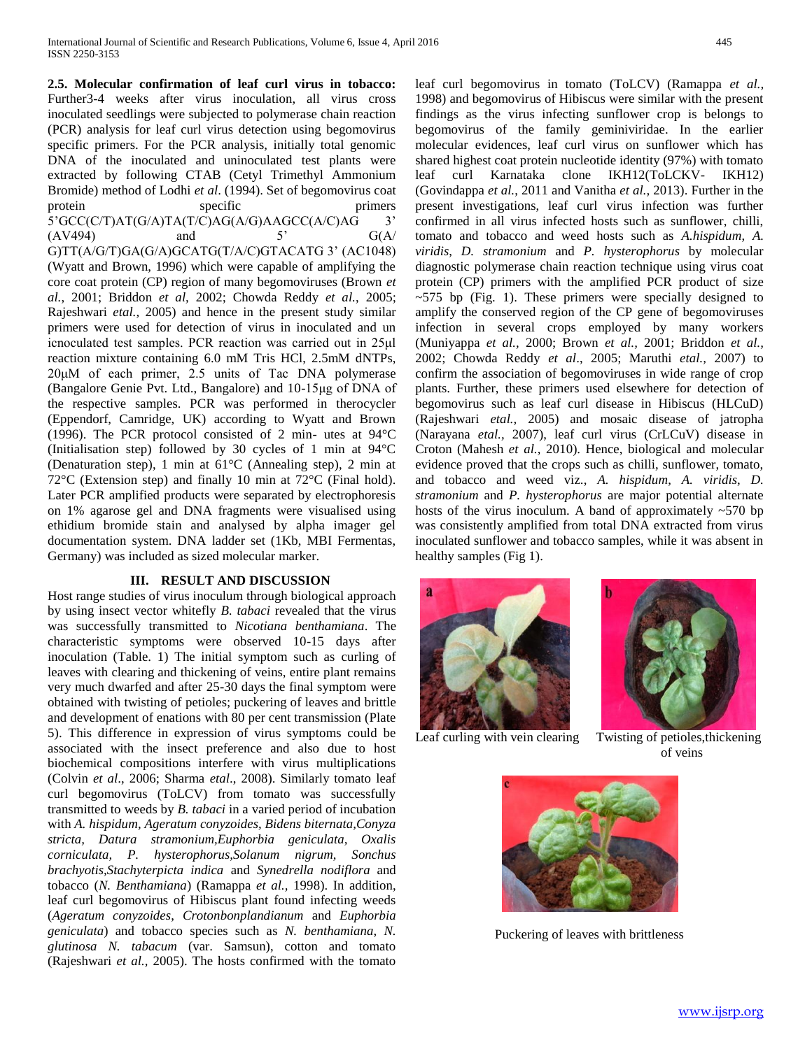**2.5. Molecular confirmation of leaf curl virus in tobacco:**  Further3-4 weeks after virus inoculation, all virus cross inoculated seedlings were subjected to polymerase chain reaction (PCR) analysis for leaf curl virus detection using begomovirus specific primers. For the PCR analysis, initially total genomic DNA of the inoculated and uninoculated test plants were extracted by following CTAB (Cetyl Trimethyl Ammonium Bromide) method of Lodhi *et al*. (1994). Set of begomovirus coat protein specific primers 5'GCC(C/T)AT(G/A)TA(T/C)AG(A/G)AAGCC(A/C)AG 3'  $\text{A}V494$  and 5'  $\text{G}(A)$ G)TT(A/G/T)GA(G/A)GCATG(T/A/C)GTACATG 3' (AC1048) (Wyatt and Brown, 1996) which were capable of amplifying the core coat protein (CP) region of many begomoviruses (Brown *et al.*, 2001; Briddon *et al,* 2002; Chowda Reddy *et al.*, 2005; Rajeshwari *etal.,* 2005) and hence in the present study similar primers were used for detection of virus in inoculated and un icnoculated test samples. PCR reaction was carried out in 25μl reaction mixture containing 6.0 mM Tris HCl, 2.5mM dNTPs, 20μM of each primer, 2.5 units of Tac DNA polymerase (Bangalore Genie Pvt. Ltd., Bangalore) and 10-15μg of DNA of the respective samples. PCR was performed in therocycler (Eppendorf, Camridge, UK) according to Wyatt and Brown (1996). The PCR protocol consisted of 2 min- utes at 94°C (Initialisation step) followed by 30 cycles of 1 min at 94°C (Denaturation step), 1 min at 61°C (Annealing step), 2 min at 72°C (Extension step) and finally 10 min at 72°C (Final hold). Later PCR amplified products were separated by electrophoresis on 1% agarose gel and DNA fragments were visualised using ethidium bromide stain and analysed by alpha imager gel documentation system. DNA ladder set (1Kb, MBI Fermentas, Germany) was included as sized molecular marker.

## **III. RESULT AND DISCUSSION**

Host range studies of virus inoculum through biological approach by using insect vector whitefly *B. tabaci* revealed that the virus was successfully transmitted to *Nicotiana benthamiana*. The characteristic symptoms were observed 10-15 days after inoculation (Table. 1) The initial symptom such as curling of leaves with clearing and thickening of veins, entire plant remains very much dwarfed and after 25-30 days the final symptom were obtained with twisting of petioles; puckering of leaves and brittle and development of enations with 80 per cent transmission (Plate 5). This difference in expression of virus symptoms could be associated with the insect preference and also due to host biochemical compositions interfere with virus multiplications (Colvin *et al*., 2006; Sharma *etal*., 2008). Similarly tomato leaf curl begomovirus (ToLCV) from tomato was successfully transmitted to weeds by *B. tabaci* in a varied period of incubation with *A. hispidum, Ageratum conyzoides, Bidens biternata,Conyza stricta, Datura stramonium,Euphorbia geniculata, Oxalis corniculata, P. hysterophorus,Solanum nigrum, Sonchus brachyotis,Stachyterpicta indica* and *Synedrella nodiflora* and tobacco (*N. Benthamiana*) (Ramappa *et al.,* 1998). In addition, leaf curl begomovirus of Hibiscus plant found infecting weeds (*Ageratum conyzoides*, *Crotonbonplandianum* and *Euphorbia geniculata*) and tobacco species such as *N. benthamiana*, *N. glutinosa N. tabacum* (var. Samsun), cotton and tomato (Rajeshwari *et al.,* 2005). The hosts confirmed with the tomato

leaf curl begomovirus in tomato (ToLCV) (Ramappa *et al.,*  1998) and begomovirus of Hibiscus were similar with the present findings as the virus infecting sunflower crop is belongs to begomovirus of the family geminiviridae. In the earlier molecular evidences, leaf curl virus on sunflower which has shared highest coat protein nucleotide identity (97%) with tomato leaf curl Karnataka clone IKH12(ToLCKV- IKH12) (Govindappa *et al.*, 2011 and Vanitha *et al.,* 2013). Further in the present investigations, leaf curl virus infection was further confirmed in all virus infected hosts such as sunflower, chilli, tomato and tobacco and weed hosts such as *A.hispidum*, *A. viridis*, *D. stramonium* and *P. hysterophorus* by molecular diagnostic polymerase chain reaction technique using virus coat protein (CP) primers with the amplified PCR product of size  $\sim$  575 bp (Fig. 1). These primers were specially designed to amplify the conserved region of the CP gene of begomoviruses infection in several crops employed by many workers (Muniyappa *et al.,* 2000; Brown *et al.,* 2001; Briddon *et al.,*  2002; Chowda Reddy *et al*., 2005; Maruthi *etal.,* 2007) to confirm the association of begomoviruses in wide range of crop plants. Further, these primers used elsewhere for detection of begomovirus such as leaf curl disease in Hibiscus (HLCuD) (Rajeshwari *etal.,* 2005) and mosaic disease of jatropha (Narayana *etal.,* 2007), leaf curl virus (CrLCuV) disease in Croton (Mahesh *et al.,* 2010). Hence, biological and molecular evidence proved that the crops such as chilli, sunflower, tomato, and tobacco and weed viz., *A. hispidum*, *A. viridis*, *D. stramonium* and *P. hysterophorus* are major potential alternate hosts of the virus inoculum. A band of approximately  $~570$  bp was consistently amplified from total DNA extracted from virus inoculated sunflower and tobacco samples, while it was absent in healthy samples (Fig 1).





Leaf curling with vein clearing

Twisting of petioles, thickening of veins



Puckering of leaves with brittleness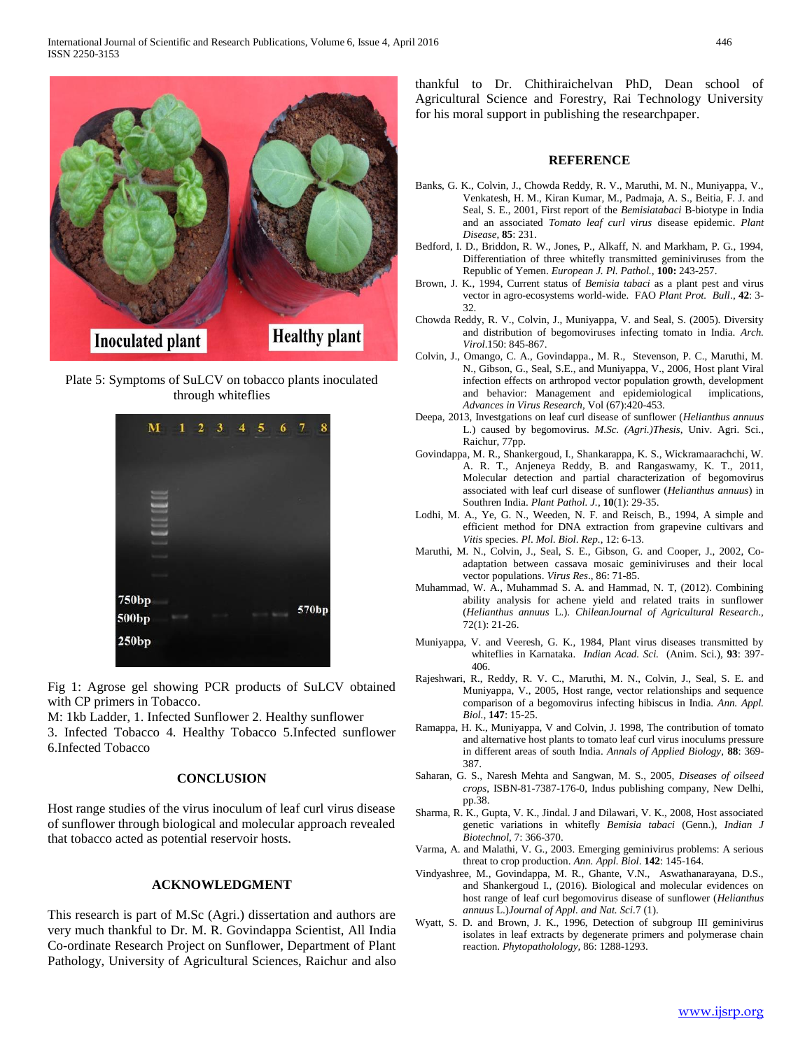

Plate 5: Symptoms of SuLCV on tobacco plants inoculated through whiteflies



Fig 1: Agrose gel showing PCR products of SuLCV obtained with CP primers in Tobacco.

M: 1kb Ladder, 1. Infected Sunflower 2. Healthy sunflower

3. Infected Tobacco 4. Healthy Tobacco 5.Infected sunflower 6.Infected Tobacco

#### **CONCLUSION**

Host range studies of the virus inoculum of leaf curl virus disease of sunflower through biological and molecular approach revealed that tobacco acted as potential reservoir hosts.

### **ACKNOWLEDGMENT**

This research is part of M.Sc (Agri.) dissertation and authors are very much thankful to Dr. M. R. Govindappa Scientist, All India Co-ordinate Research Project on Sunflower, Department of Plant Pathology, University of Agricultural Sciences, Raichur and also

thankful to Dr. Chithiraichelvan PhD, Dean school of Agricultural Science and Forestry, Rai Technology University for his moral support in publishing the researchpaper.

#### **REFERENCE**

- Banks, G. K., Colvin, J., Chowda Reddy, R. V., Maruthi, M. N., Muniyappa, V., Venkatesh, H. M., Kiran Kumar, M., Padmaja, A. S., Beitia, F. J. and Seal, S. E., 2001, First report of the *Bemisiatabaci* B-biotype in India and an associated *Tomato leaf curl virus* disease epidemic. *Plant Disease*, **85**: 231.
- Bedford, I. D., Briddon, R. W., Jones, P., Alkaff, N. and Markham, P. G., 1994, Differentiation of three whitefly transmitted geminiviruses from the Republic of Yemen. *European J. Pl. Pathol.,* **100:** 243-257.
- Brown, J. K., 1994, Current status of *Bemisia tabaci* as a plant pest and virus vector in agro-ecosystems world-wide. FAO *Plant Prot. Bull*., **42**: 3- 32.
- Chowda Reddy, R. V., Colvin, J., Muniyappa, V. and Seal, S. (2005). Diversity and distribution of begomoviruses infecting tomato in India. *Arch. Virol*.150: 845-867.
- Colvin, J., Omango, C. A., Govindappa., M. R., Stevenson, P. C., Maruthi, M. N., Gibson, G., Seal, S.E., and Muniyappa, V., 2006, Host plant Viral infection effects on arthropod vector population growth, development and behavior: Management and epidemiological implications, *Advances in Virus Research,* Vol (67):420-453.
- Deepa, 2013, Investgations on leaf curl disease of sunflower (*Helianthus annuus* L.) caused by begomovirus. *M.Sc. (Agri.)Thesis*, Univ. Agri. Sci., Raichur, 77pp.
- Govindappa, M. R., Shankergoud, I., Shankarappa, K. S., Wickramaarachchi, W. A. R. T., Anjeneya Reddy, B. and Rangaswamy, K. T., 2011, Molecular detection and partial characterization of begomovirus associated with leaf curl disease of sunflower (*Helianthus annuus*) in Southren India. *Plant Pathol. J.*, **10**(1): 29-35.
- Lodhi, M. A., Ye, G. N., Weeden, N. F. and Reisch, B., 1994, A simple and efficient method for DNA extraction from grapevine cultivars and *Vitis* species. *Pl*. *Mol*. *Biol*. *Rep.*, 12: 6-13.
- Maruthi, M. N., Colvin, J., Seal, S. E., Gibson, G. and Cooper, J., 2002, Coadaptation between cassava mosaic geminiviruses and their local vector populations. *Virus Res*., 86: 71-85.
- Muhammad, W. A., Muhammad S. A. and Hammad, N. T, (2012). Combining ability analysis for achene yield and related traits in sunflower (*Helianthus annuus* L.). *ChileanJournal of Agricultural Research.,*  72(1): 21-26.
- Muniyappa, V. and Veeresh, G. K., 1984, Plant virus diseases transmitted by whiteflies in Karnataka. *Indian Acad. Sci.* (Anim. Sci.), **93**: 397- 406.
- Rajeshwari, R., Reddy, R. V. C., Maruthi, M. N., Colvin, J., Seal, S. E. and Muniyappa, V., 2005, Host range, vector relationships and sequence comparison of a begomovirus infecting hibiscus in India. *Ann. Appl. Biol.,* **147**: 15-25.
- Ramappa, H. K., Muniyappa, V and Colvin, J. 1998, The contribution of tomato and alternative host plants to tomato leaf curl virus inoculums pressure in different areas of south India. *Annals of Applied Biology*, **88**: 369- 387.
- Saharan, G. S., Naresh Mehta and Sangwan, M. S., 2005, *Diseases of oilseed crops*, ISBN-81-7387-176-0, Indus publishing company, New Delhi, pp.38.
- Sharma, R. K., Gupta, V. K., Jindal. J and Dilawari, V. K., 2008, Host associated genetic variations in whitefly *Bemisia tabaci* (Genn.), *Indian J Biotechnol*, 7: 366-370.
- Varma, A. and Malathi, V. G., 2003. Emerging geminivirus problems: A serious threat to crop production. *Ann. Appl. Biol*. **142**: 145-164.
- Vindyashree, M., Govindappa, M. R., Ghante, V.N., Aswathanarayana, D.S., and Shankergoud I., (2016). Biological and molecular evidences on host range of leaf curl begomovirus disease of sunflower (*Helianthus annuus* L.)*Journal of Appl. and Nat. Sci.*7 (1).
- Wyatt, S. D. and Brown, J. K., 1996, Detection of subgroup III geminivirus isolates in leaf extracts by degenerate primers and polymerase chain reaction. *Phytopatholology,* 86: 1288-1293.